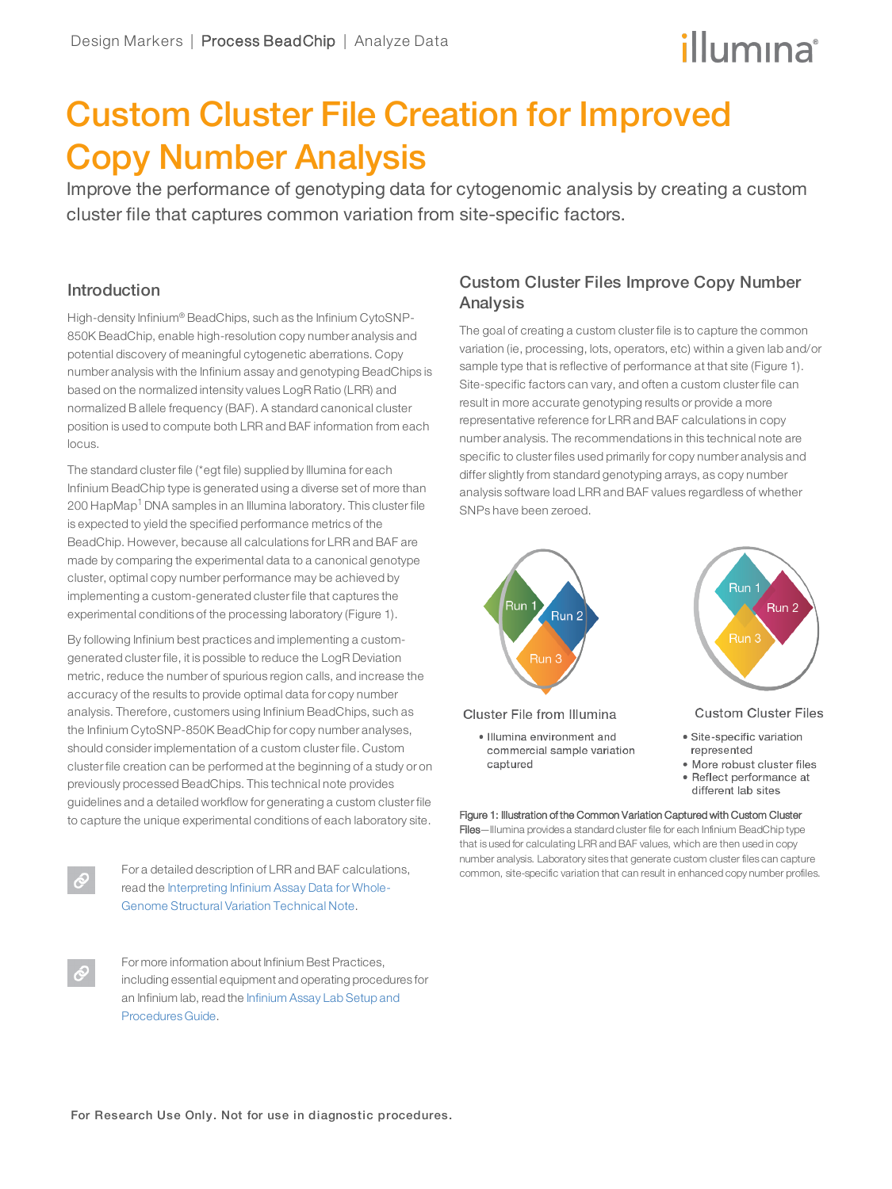# illumina®

## Custom Cluster File Creation for Improved Copy Number Analysis

Improve the performance of genotyping data for cytogenomic analysis by creating a custom cluster file that captures common variation from site-specific factors.

## Introduction

High-density Infinium® BeadChips, such as the Infinium CytoSNP-850K BeadChip, enable high-resolution copy number analysis and potential discovery of meaningful cytogenetic aberrations. Copy number analysis with the Infinium assay and genotyping BeadChips is based on the normalized intensity values LogR Ratio (LRR) and normalized B allele frequency (BAF). A standard canonical cluster position is used to compute both LRR and BAF information from each locus.

The standard cluster file (\*egt file) supplied by Illumina for each Infinium BeadChip type is generated using a diverse set of more than 200 HapMap<sup>[1](#page-3-0)</sup> DNA samples in an Illumina laboratory. This cluster file is expected to yield the specified performance metrics of the BeadChip. However, because all calculations for LRR and BAF are made by comparing the experimental data to a canonical genotype cluster, optimal copy number performance may be achieved by implementing a custom-generated cluster file that captures the experimental conditions of the processing laboratory (Figure 1).

By following Infinium best practices and implementing a customgenerated cluster file, it is possible to reduce the LogR Deviation metric, reduce the number of spurious region calls, and increase the accuracy of the results to provide optimal data for copy number analysis. Therefore, customers using Infinium BeadChips, such as the Infinium CytoSNP-850K BeadChip for copy number analyses, should consider implementation of a custom cluster file. Custom cluster file creation can be performed at the beginning of a study or on previously processed BeadChips. This technical note provides guidelines and a detailed workflow for generating a custom cluster file to capture the unique experimental conditions of each laboratory site.



For a detailed description of LRR and BAF calculations, read the [Interpreting](http://www.illumina.com/Documents/products/technotes/technote_cytoanalysis.pdf) Infinium Assay Data for Whole-Genome Structural Variation [Technical](http://www.illumina.com/Documents/products/technotes/technote_cytoanalysis.pdf) Note.

For more information about Infinium Best Practices, including essential equipment and operating procedures for an Infinium lab, read the [Infinium](https://support.illumina.com/content/dam/illumina-support/documents/documentation/chemistry_documentation/infinium_assays/infinium/infinium-assay-lab-setup-and-procedures-11322460-01.pdf) Assay Lab Setup and [Procedures](https://support.illumina.com/content/dam/illumina-support/documents/documentation/chemistry_documentation/infinium_assays/infinium/infinium-assay-lab-setup-and-procedures-11322460-01.pdf) Guide.

## Custom Cluster Files Improve Copy Number Analysis

The goal of creating a custom cluster file is to capture the common variation (ie, processing, lots, operators, etc) within a given lab and/or sample type that is reflective of performance at that site (Figure 1). Site-specific factors can vary, and often a custom cluster file can result in more accurate genotyping results or provide a more representative reference for LRR and BAF calculations in copy number analysis. The recommendations in this technical note are specific to cluster files used primarily for copy number analysis and differ slightly from standard genotyping arrays, as copy number analysis software load LRR and BAF values regardless of whether SNPs have been zeroed.



Files—Illumina provides a standard cluster file for each Infinium BeadChip type that is used for calculating LRR and BAF values, which are then used in copy number analysis. Laboratory sites that generate custom cluster files can capture common, site-specific variation that can result in enhanced copy number profiles.

For Research Use Only. Not for use in diagnostic procedures.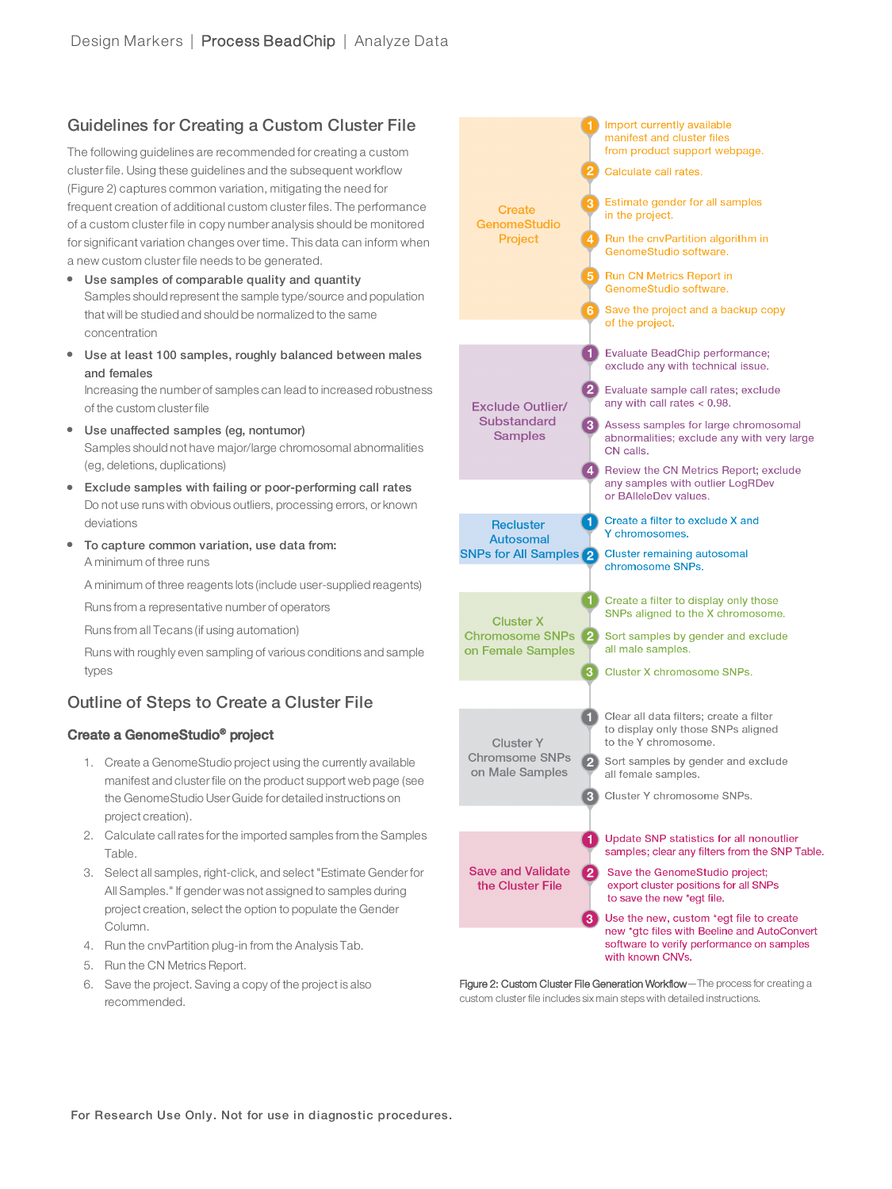## Guidelines for Creating a Custom Cluster File

The following guidelines are recommended for creating a custom cluster file. Using these guidelines and the subsequent workflow (Figure 2) captures common variation, mitigating the need for frequent creation of additional custom cluster files. The performance of a custom cluster file in copy number analysis should be monitored for significant variation changes over time. This data can inform when a new custom cluster file needs to be generated.

- Use samples of comparable quality and quantity Samples should represent the sample type/source and population that will be studied and should be normalized to the same concentration
- Use at least 100 samples, roughly balanced between males and females

Increasing the number of samples can lead to increased robustness of the custom clusterfile

- Use unaffected samples (eg, nontumor) Samples should not have major/large chromosomal abnormalities (eg, deletions, duplications)
- Exclude samples with failing or poor-performing call rates Do not use runs with obvious outliers, processing errors, or known deviations
- To capture common variation, use data from: A minimum of three runs

A minimum of three reagents lots (include user-supplied reagents)

Runs from a representative number of operators

Runs from all Tecans (if using automation)

Runs with roughly even sampling of various conditions and sample types

## Outline of Steps to Create a Cluster File

### Create a GenomeStudio® project

- 1. Create a GenomeStudio project using the currently available manifest and clusterfile on the product support web page (see the GenomeStudio User Guide for detailed instructions on project creation).
- 2. Calculate call rates forthe imported samples from the Samples Table.
- 3. Select all samples, right-click, and select"Estimate Genderfor All Samples." If gender was not assigned to samples during project creation, select the option to populate the Gender Column.
- 4. Run the cnvPartition plug-in from the Analysis Tab.
- 5. Run the CN Metrics Report.
- 6. Save the project. Saving a copy of the project is also recommended.



Figure 2: Custom Cluster File Generation Workflow-The process for creating a custom cluster file includes six main steps with detailed instructions.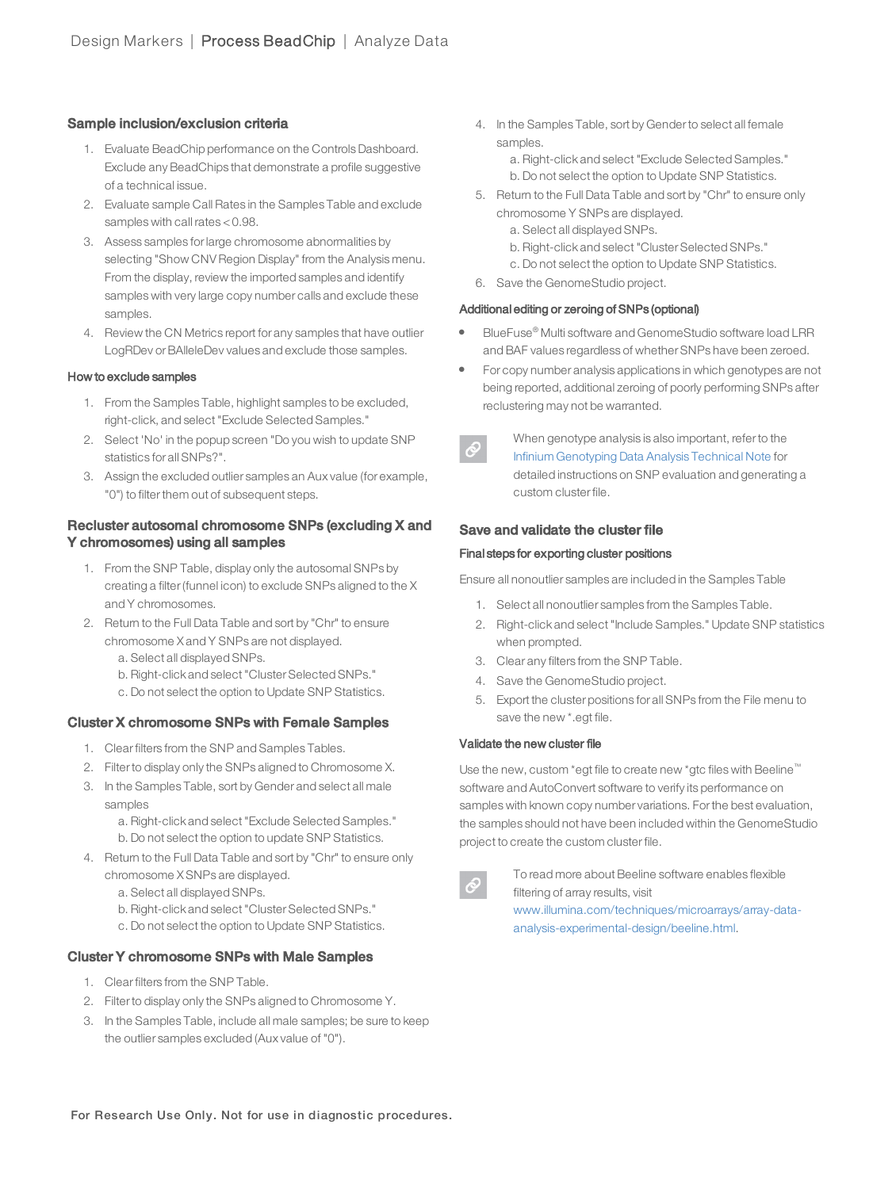#### Sample inclusion/exclusion criteria

- 1. Evaluate BeadChip performance on the Controls Dashboard. Exclude any BeadChips that demonstrate a profile suggestive of a technical issue.
- 2. Evaluate sample Call Rates in the Samples Table and exclude samples with call rates < 0.98.
- 3. Assess samples forlarge chromosome abnormalities by selecting "Show CNV Region Display" from the Analysis menu. From the display, review the imported samples and identify samples with very large copy number calls and exclude these samples.
- 4. Review the CN Metrics report for any samples that have outlier LogRDev or BAlleleDev values and exclude those samples.

#### How to exclude samples

- 1. From the Samples Table, highlight samples to be excluded, right-click, and select"Exclude Selected Samples."
- 2. Select 'No' in the popup screen "Do you wish to update SNP statistics for all SNPs?".
- 3. Assign the excluded outlier samples an Aux value (for example, "0") to filterthem out of subsequent steps.

#### Recluster autosomal chromosome SNPs (excluding X and Y chromosomes) using all samples

- 1. From the SNP Table, display only the autosomal SNPs by creating a filter(funnel icon) to exclude SNPs aligned to the X and Y chromosomes.
- 2. Return to the Full Data Table and sort by "Chr" to ensure chromosome X and Y SNPs are not displayed.
	- a. Select all displayed SNPs.
	- b. Right-click and select"ClusterSelected SNPs."
	- c. Do not select the option to Update SNP Statistics.

#### Cluster X chromosome SNPs with Female Samples

- 1. Clearfilters from the SNP and Samples Tables.
- 2. Filterto display only the SNPs aligned to Chromosome X.
- 3. In the Samples Table, sort by Gender and select all male samples
	- a. Right-click and select"Exclude Selected Samples."
	- b. Do not select the option to update SNP Statistics.
- 4. Return to the Full Data Table and sort by "Chr" to ensure only chromosome X SNPs are displayed.
	- a. Select all displayed SNPs.
	- b. Right-click and select"ClusterSelected SNPs."
	- c. Do not select the option to Update SNP Statistics.

#### Cluster Y chromosome SNPs with Male Samples

- 1. Clearfilters from the SNP Table.
- 2. Filterto display only the SNPs aligned to Chromosome Y.
- 3. In the Samples Table, include all male samples; be sure to keep the outlier samples excluded (Aux value of "0").

4. In the Samples Table, sort by Genderto select all female samples.

> a. Right-click and select"Exclude Selected Samples." b. Do not select the option to Update SNP Statistics.

- 5. Return to the Full Data Table and sort by "Chr" to ensure only chromosome Y SNPs are displayed.
	- a. Select all displayed SNPs.
	- b. Right-click and select"ClusterSelected SNPs."
	- c. Do not select the option to Update SNP Statistics.
- 6. Save the GenomeStudio project.

#### Additional editing or zeroing of SNPs (optional)

- l BlueFuse® Multi software and GenomeStudio software load LRR and BAF values regardless of whetherSNPs have been zeroed.
- For copy number analysis applications in which genotypes are not being reported, additional zeroing of poorly performing SNPs after reclustering may not be warranted.



When genotype analysis is also important, referto the Infinium [Genotyping](http://www.illumina.com/Documents/products/technotes/technote_infinium_genotyping_data_analysis.pdf) Data Analysis Technical Note for detailed instructions on SNP evaluation and generating a custom clusterfile.

#### Save and validate the cluster file

#### Final steps for exporting cluster positions

Ensure all nonoutlier samples are included in the Samples Table

- 1. Select all nonoutlier samples from the Samples Table.
- 2. Right-click and select"Include Samples." Update SNP statistics when prompted.
- 3. Clear any filters from the SNP Table.
- 4. Save the GenomeStudio project.
- 5. Export the cluster positions for all SNPs from the File menu to save the new \*.egt file.

#### Validate the new cluster file

Use the new, custom \*egt file to create new \*gtc files with Beeline™ software and AutoConvert software to verify its performance on samples with known copy number variations. Forthe best evaluation, the samples should not have been included within the GenomeStudio project to create the custom clusterfile.

To read more about Beeline software enables flexible filtering of array results, visit

www.illumina.com/techniques/microarrays/array-dataanalysis-experimental-design/beeline.html.